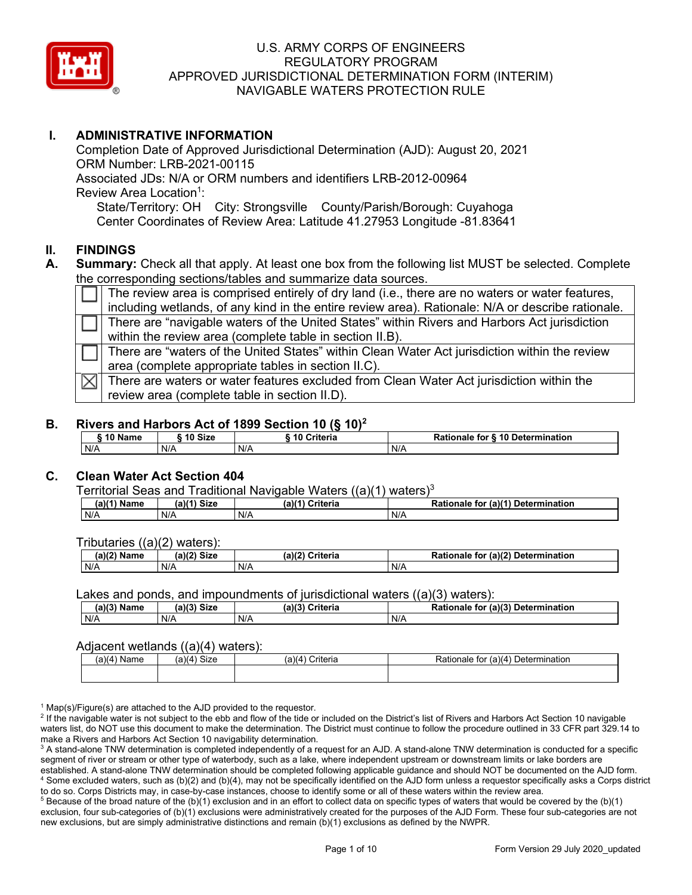

## **I. ADMINISTRATIVE INFORMATION**

Completion Date of Approved Jurisdictional Determination (AJD): August 20, 2021 ORM Number: LRB-2021-00115 Associated JDs: N/A or ORM numbers and identifiers LRB-2012-00964 Review Area Location<sup>1</sup>: State/Territory: OH City: Strongsville County/Parish/Borough: Cuyahoga Center Coordinates of Review Area: Latitude 41.27953 Longitude -81.83641

#### **II. FINDINGS**

**A. Summary:** Check all that apply. At least one box from the following list MUST be selected. Complete the corresponding sections/tables and summarize data sources.

The review area is comprised entirely of dry land (i.e., there are no waters or water features, including wetlands, of any kind in the entire review area). Rationale: N/A or describe rationale. There are "navigable waters of the United States" within Rivers and Harbors Act jurisdiction within the review area (complete table in section II.B). There are "waters of the United States" within Clean Water Act jurisdiction within the review area (complete appropriate tables in section II.C). There are waters or water features excluded from Clean Water Act jurisdiction within the ⋈ review area (complete table in section II.D).

#### **B. Rivers and Harbors Act of 1899 Section 10 (§ 10)2**

| ∵^ Name | 10 Size | . .<br>10 Criteria | <b>§ 10 Determination</b><br>Rationale<br>for |
|---------|---------|--------------------|-----------------------------------------------|
| N/A     | N/A     | N/A                | N/A                                           |

#### **C. Clean Water Act Section 404**

Territorial Seas and Traditional Navigable Waters  $((a)(1)$  waters)<sup>3</sup>

| -----------------<br>Name<br>(a)(' | -------<br>$V(1)$ Size | .<br>$(a)$ $(4)$<br>Criteria | ---------<br>(a)(1)<br>Determination<br>Rationale<br>tor |
|------------------------------------|------------------------|------------------------------|----------------------------------------------------------|
| N/A                                | N/A                    | N/A                          | N/A                                                      |

Tributaries ((a)(2) waters):

| (a)(2)<br>Name | (a)(2)<br><b>Size</b> | (a)(2)<br>$\sim$ $\sim$ $\sim$ $\sim$ $\sim$ $\sim$ $\sim$<br>∪riteria | (a)(2)<br><b>Determination</b><br>tor<br>tionale<br>rа |
|----------------|-----------------------|------------------------------------------------------------------------|--------------------------------------------------------|
| N/A            | N/A                   | N/A                                                                    | N/A                                                    |

Lakes and ponds, and impoundments of jurisdictional waters  $((a)(3)$  waters):

| (a)(3)<br><b>Name</b> | <b>Size</b><br>$(a)$ $(2)$ | ۱۵۱.<br>Criteria | (a)(3) Determination<br>Pationale<br>for |
|-----------------------|----------------------------|------------------|------------------------------------------|
| N/A                   | N/A                        | N/A              | N/A                                      |

#### Adiacent wetlands ((a)(4) waters):

| Name<br>м $\Lambda$ | $C = C$<br>$\cdots$<br>MА<br>ા∠∈ | пеп. | ∴∪etermın<br>nation<br>(a)(4<br>. for<br>naie<br>ווהר |
|---------------------|----------------------------------|------|-------------------------------------------------------|
|                     |                                  |      |                                                       |

 $1$  Map(s)/Figure(s) are attached to the AJD provided to the requestor.

<sup>2</sup> If the navigable water is not subject to the ebb and flow of the tide or included on the District's list of Rivers and Harbors Act Section 10 navigable waters list, do NOT use this document to make the determination. The District must continue to follow the procedure outlined in 33 CFR part 329.14 to make a Rivers and Harbors Act Section 10 navigability determination.

<sup>3</sup> A stand-alone TNW determination is completed independently of a request for an AJD. A stand-alone TNW determination is conducted for a specific segment of river or stream or other type of waterbody, such as a lake, where independent upstream or downstream limits or lake borders are established. A stand-alone TNW determination should be completed following applicable guidance and should NOT be documented on the AJD form. <sup>4</sup> Some excluded waters, such as (b)(2) and (b)(4), may not be specifically identified on the AJD form unless a requestor specifically asks a Corps district to do so. Corps Districts may, in case-by-case instances, choose to identify some or all of these waters within the review area.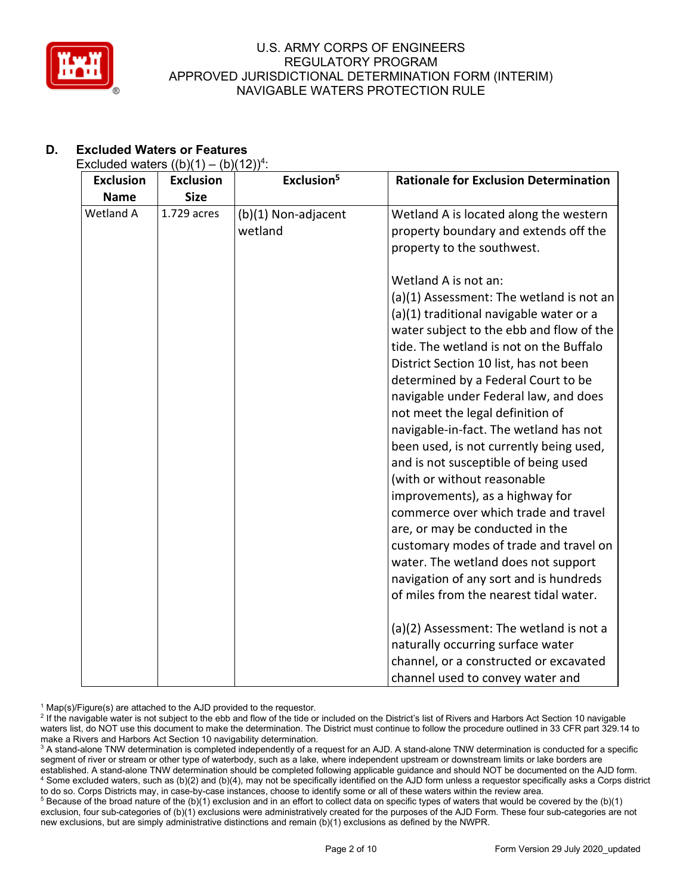

# **D. Excluded Waters or Features**

## Excluded waters  $((b)(1) - (b)(12))^4$ :

| <b>Exclusion</b> | <b>Exclusion</b> | Exclusion <sup>5</sup>         | <b>Rationale for Exclusion Determination</b>                                                                                                                                                                                                                                                                                                                                                                                                                                                                                                                                                                                                                 |
|------------------|------------------|--------------------------------|--------------------------------------------------------------------------------------------------------------------------------------------------------------------------------------------------------------------------------------------------------------------------------------------------------------------------------------------------------------------------------------------------------------------------------------------------------------------------------------------------------------------------------------------------------------------------------------------------------------------------------------------------------------|
| <b>Name</b>      | <b>Size</b>      |                                |                                                                                                                                                                                                                                                                                                                                                                                                                                                                                                                                                                                                                                                              |
| Wetland A        | 1.729 acres      | (b)(1) Non-adjacent<br>wetland | Wetland A is located along the western<br>property boundary and extends off the<br>property to the southwest.                                                                                                                                                                                                                                                                                                                                                                                                                                                                                                                                                |
|                  |                  |                                | Wetland A is not an:                                                                                                                                                                                                                                                                                                                                                                                                                                                                                                                                                                                                                                         |
|                  |                  |                                | (a)(1) Assessment: The wetland is not an<br>(a)(1) traditional navigable water or a<br>water subject to the ebb and flow of the<br>tide. The wetland is not on the Buffalo<br>District Section 10 list, has not been<br>determined by a Federal Court to be<br>navigable under Federal law, and does<br>not meet the legal definition of<br>navigable-in-fact. The wetland has not<br>been used, is not currently being used,<br>and is not susceptible of being used<br>(with or without reasonable<br>improvements), as a highway for<br>commerce over which trade and travel<br>are, or may be conducted in the<br>customary modes of trade and travel on |
|                  |                  |                                | water. The wetland does not support                                                                                                                                                                                                                                                                                                                                                                                                                                                                                                                                                                                                                          |
|                  |                  |                                | navigation of any sort and is hundreds                                                                                                                                                                                                                                                                                                                                                                                                                                                                                                                                                                                                                       |
|                  |                  |                                | of miles from the nearest tidal water.                                                                                                                                                                                                                                                                                                                                                                                                                                                                                                                                                                                                                       |
|                  |                  |                                | (a)(2) Assessment: The wetland is not a                                                                                                                                                                                                                                                                                                                                                                                                                                                                                                                                                                                                                      |
|                  |                  |                                | naturally occurring surface water                                                                                                                                                                                                                                                                                                                                                                                                                                                                                                                                                                                                                            |
|                  |                  |                                | channel, or a constructed or excavated                                                                                                                                                                                                                                                                                                                                                                                                                                                                                                                                                                                                                       |
|                  |                  |                                | channel used to convey water and                                                                                                                                                                                                                                                                                                                                                                                                                                                                                                                                                                                                                             |

 $1$  Map(s)/Figure(s) are attached to the AJD provided to the requestor.

<sup>&</sup>lt;sup>2</sup> If the navigable water is not subject to the ebb and flow of the tide or included on the District's list of Rivers and Harbors Act Section 10 navigable waters list, do NOT use this document to make the determination. The District must continue to follow the procedure outlined in 33 CFR part 329.14 to make a Rivers and Harbors Act Section 10 navigability determination.

<sup>&</sup>lt;sup>3</sup> A stand-alone TNW determination is completed independently of a request for an AJD. A stand-alone TNW determination is conducted for a specific segment of river or stream or other type of waterbody, such as a lake, where independent upstream or downstream limits or lake borders are established. A stand-alone TNW determination should be completed following applicable guidance and should NOT be documented on the AJD form. <sup>4</sup> Some excluded waters, such as (b)(2) and (b)(4), may not be specifically identified on the AJD form unless a requestor specifically asks a Corps district to do so. Corps Districts may, in case-by-case instances, choose to identify some or all of these waters within the review area.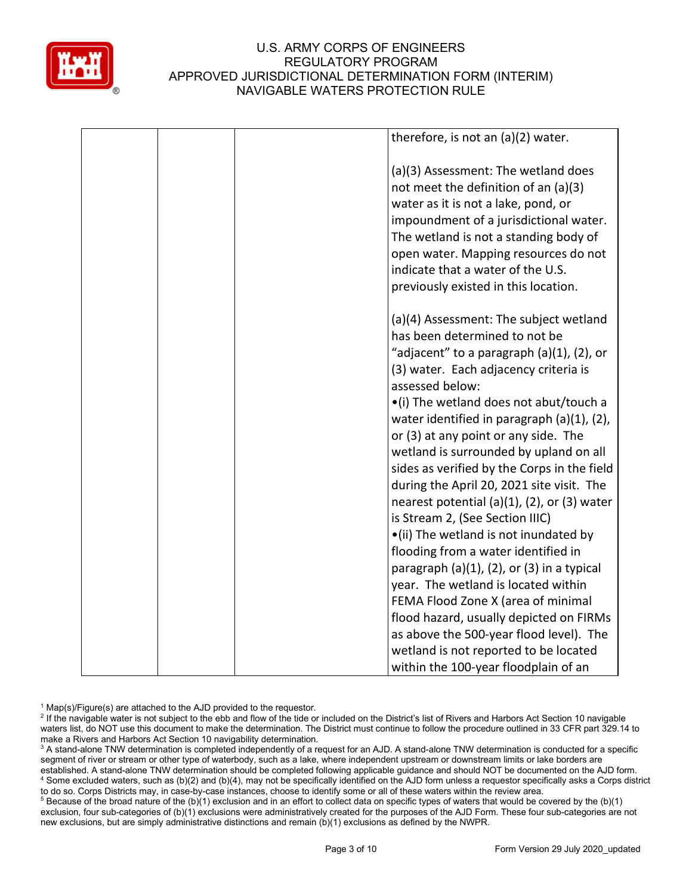

|  | therefore, is not an $(a)(2)$ water.                                                                                                                                                                                                                                                                                                                                                                                                                                                                                                                                                                                                                                            |
|--|---------------------------------------------------------------------------------------------------------------------------------------------------------------------------------------------------------------------------------------------------------------------------------------------------------------------------------------------------------------------------------------------------------------------------------------------------------------------------------------------------------------------------------------------------------------------------------------------------------------------------------------------------------------------------------|
|  | (a)(3) Assessment: The wetland does<br>not meet the definition of an (a)(3)<br>water as it is not a lake, pond, or<br>impoundment of a jurisdictional water.<br>The wetland is not a standing body of<br>open water. Mapping resources do not<br>indicate that a water of the U.S.<br>previously existed in this location.                                                                                                                                                                                                                                                                                                                                                      |
|  | (a)(4) Assessment: The subject wetland<br>has been determined to not be<br>"adjacent" to a paragraph (a)(1), (2), or<br>(3) water. Each adjacency criteria is<br>assessed below:<br>•(i) The wetland does not abut/touch a<br>water identified in paragraph (a)(1), (2),<br>or (3) at any point or any side. The<br>wetland is surrounded by upland on all<br>sides as verified by the Corps in the field<br>during the April 20, 2021 site visit. The<br>nearest potential (a) $(1)$ , $(2)$ , or $(3)$ water<br>is Stream 2, (See Section IIIC)<br>•(ii) The wetland is not inundated by<br>flooding from a water identified in<br>paragraph (a)(1), (2), or (3) in a typical |
|  | year. The wetland is located within<br>FEMA Flood Zone X (area of minimal<br>flood hazard, usually depicted on FIRMs<br>as above the 500-year flood level). The<br>wetland is not reported to be located<br>within the 100-year floodplain of an                                                                                                                                                                                                                                                                                                                                                                                                                                |

 $1$  Map(s)/Figure(s) are attached to the AJD provided to the requestor.

<sup>&</sup>lt;sup>2</sup> If the navigable water is not subject to the ebb and flow of the tide or included on the District's list of Rivers and Harbors Act Section 10 navigable waters list, do NOT use this document to make the determination. The District must continue to follow the procedure outlined in 33 CFR part 329.14 to make a Rivers and Harbors Act Section 10 navigability determination.

<sup>&</sup>lt;sup>3</sup> A stand-alone TNW determination is completed independently of a request for an AJD. A stand-alone TNW determination is conducted for a specific segment of river or stream or other type of waterbody, such as a lake, where independent upstream or downstream limits or lake borders are established. A stand-alone TNW determination should be completed following applicable guidance and should NOT be documented on the AJD form. <sup>4</sup> Some excluded waters, such as (b)(2) and (b)(4), may not be specifically identified on the AJD form unless a requestor specifically asks a Corps district to do so. Corps Districts may, in case-by-case instances, choose to identify some or all of these waters within the review area.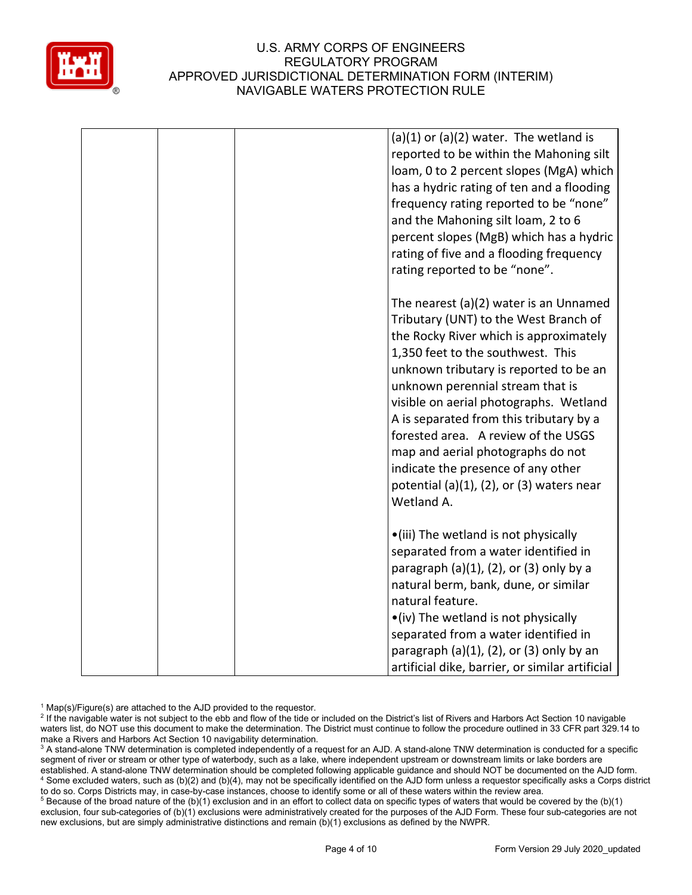

| $(a)(1)$ or $(a)(2)$ water. The wetland is<br>reported to be within the Mahoning silt<br>loam, 0 to 2 percent slopes (MgA) which<br>has a hydric rating of ten and a flooding<br>frequency rating reported to be "none"<br>and the Mahoning silt loam, 2 to 6<br>percent slopes (MgB) which has a hydric<br>rating of five and a flooding frequency<br>rating reported to be "none".                                                                                                                                    |
|-------------------------------------------------------------------------------------------------------------------------------------------------------------------------------------------------------------------------------------------------------------------------------------------------------------------------------------------------------------------------------------------------------------------------------------------------------------------------------------------------------------------------|
| The nearest (a)(2) water is an Unnamed<br>Tributary (UNT) to the West Branch of<br>the Rocky River which is approximately<br>1,350 feet to the southwest. This<br>unknown tributary is reported to be an<br>unknown perennial stream that is<br>visible on aerial photographs. Wetland<br>A is separated from this tributary by a<br>forested area. A review of the USGS<br>map and aerial photographs do not<br>indicate the presence of any other<br>potential (a) $(1)$ , $(2)$ , or $(3)$ waters near<br>Wetland A. |
| •(iii) The wetland is not physically<br>separated from a water identified in<br>paragraph $(a)(1)$ , $(2)$ , or $(3)$ only by a<br>natural berm, bank, dune, or similar<br>natural feature.<br>•(iv) The wetland is not physically<br>separated from a water identified in<br>paragraph $(a)(1)$ , $(2)$ , or $(3)$ only by an<br>artificial dike, barrier, or similar artificial                                                                                                                                       |

 $1$  Map(s)/Figure(s) are attached to the AJD provided to the requestor.

<sup>2</sup> If the navigable water is not subject to the ebb and flow of the tide or included on the District's list of Rivers and Harbors Act Section 10 navigable waters list, do NOT use this document to make the determination. The District must continue to follow the procedure outlined in 33 CFR part 329.14 to make a Rivers and Harbors Act Section 10 navigability determination.

<sup>3</sup> A stand-alone TNW determination is completed independently of a request for an AJD. A stand-alone TNW determination is conducted for a specific segment of river or stream or other type of waterbody, such as a lake, where independent upstream or downstream limits or lake borders are established. A stand-alone TNW determination should be completed following applicable guidance and should NOT be documented on the AJD form. <sup>4</sup> Some excluded waters, such as (b)(2) and (b)(4), may not be specifically identified on the AJD form unless a requestor specifically asks a Corps district to do so. Corps Districts may, in case-by-case instances, choose to identify some or all of these waters within the review area.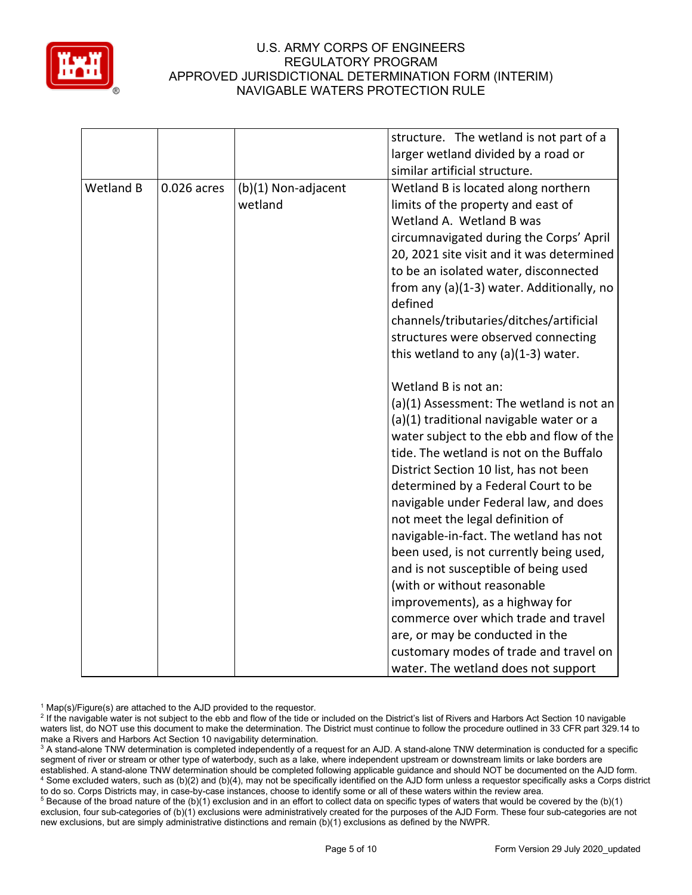

|                  |             |                     | structure. The wetland is not part of a   |
|------------------|-------------|---------------------|-------------------------------------------|
|                  |             |                     | larger wetland divided by a road or       |
|                  |             |                     | similar artificial structure.             |
| <b>Wetland B</b> | 0.026 acres | (b)(1) Non-adjacent | Wetland B is located along northern       |
|                  |             | wetland             | limits of the property and east of        |
|                  |             |                     | Wetland A. Wetland B was                  |
|                  |             |                     | circumnavigated during the Corps' April   |
|                  |             |                     | 20, 2021 site visit and it was determined |
|                  |             |                     | to be an isolated water, disconnected     |
|                  |             |                     | from any (a)(1-3) water. Additionally, no |
|                  |             |                     | defined                                   |
|                  |             |                     | channels/tributaries/ditches/artificial   |
|                  |             |                     | structures were observed connecting       |
|                  |             |                     | this wetland to any $(a)(1-3)$ water.     |
|                  |             |                     | Wetland B is not an:                      |
|                  |             |                     | (a)(1) Assessment: The wetland is not an  |
|                  |             |                     | (a)(1) traditional navigable water or a   |
|                  |             |                     | water subject to the ebb and flow of the  |
|                  |             |                     | tide. The wetland is not on the Buffalo   |
|                  |             |                     | District Section 10 list, has not been    |
|                  |             |                     | determined by a Federal Court to be       |
|                  |             |                     | navigable under Federal law, and does     |
|                  |             |                     | not meet the legal definition of          |
|                  |             |                     | navigable-in-fact. The wetland has not    |
|                  |             |                     | been used, is not currently being used,   |
|                  |             |                     | and is not susceptible of being used      |
|                  |             |                     | (with or without reasonable               |
|                  |             |                     | improvements), as a highway for           |
|                  |             |                     | commerce over which trade and travel      |
|                  |             |                     | are, or may be conducted in the           |
|                  |             |                     | customary modes of trade and travel on    |
|                  |             |                     | water. The wetland does not support       |

 $1$  Map(s)/Figure(s) are attached to the AJD provided to the requestor.

<sup>&</sup>lt;sup>2</sup> If the navigable water is not subject to the ebb and flow of the tide or included on the District's list of Rivers and Harbors Act Section 10 navigable waters list, do NOT use this document to make the determination. The District must continue to follow the procedure outlined in 33 CFR part 329.14 to make a Rivers and Harbors Act Section 10 navigability determination.

<sup>&</sup>lt;sup>3</sup> A stand-alone TNW determination is completed independently of a request for an AJD. A stand-alone TNW determination is conducted for a specific segment of river or stream or other type of waterbody, such as a lake, where independent upstream or downstream limits or lake borders are established. A stand-alone TNW determination should be completed following applicable guidance and should NOT be documented on the AJD form. <sup>4</sup> Some excluded waters, such as (b)(2) and (b)(4), may not be specifically identified on the AJD form unless a requestor specifically asks a Corps district to do so. Corps Districts may, in case-by-case instances, choose to identify some or all of these waters within the review area.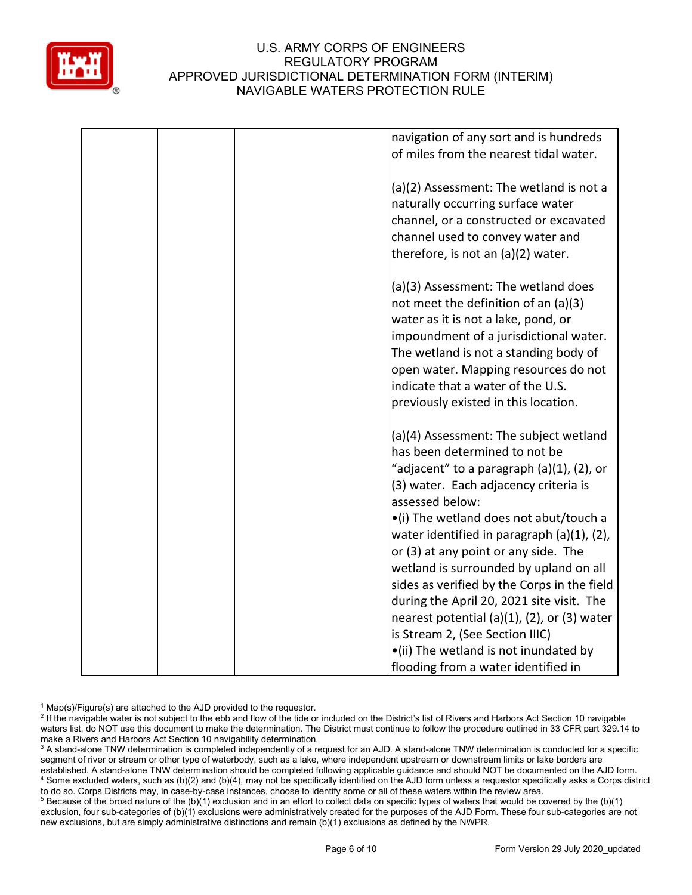

|  | navigation of any sort and is hundreds               |
|--|------------------------------------------------------|
|  | of miles from the nearest tidal water.               |
|  |                                                      |
|  | (a)(2) Assessment: The wetland is not a              |
|  | naturally occurring surface water                    |
|  | channel, or a constructed or excavated               |
|  | channel used to convey water and                     |
|  |                                                      |
|  | therefore, is not an (a)(2) water.                   |
|  |                                                      |
|  | (a)(3) Assessment: The wetland does                  |
|  | not meet the definition of an $(a)(3)$               |
|  | water as it is not a lake, pond, or                  |
|  | impoundment of a jurisdictional water.               |
|  | The wetland is not a standing body of                |
|  | open water. Mapping resources do not                 |
|  | indicate that a water of the U.S.                    |
|  | previously existed in this location.                 |
|  |                                                      |
|  | (a)(4) Assessment: The subject wetland               |
|  | has been determined to not be                        |
|  | "adjacent" to a paragraph (a)(1), (2), or            |
|  | (3) water. Each adjacency criteria is                |
|  | assessed below:                                      |
|  | •(i) The wetland does not abut/touch a               |
|  | water identified in paragraph (a)(1), (2),           |
|  | or (3) at any point or any side. The                 |
|  |                                                      |
|  | wetland is surrounded by upland on all               |
|  | sides as verified by the Corps in the field          |
|  | during the April 20, 2021 site visit. The            |
|  | nearest potential (a) $(1)$ , $(2)$ , or $(3)$ water |
|  | is Stream 2, (See Section IIIC)                      |
|  | •(ii) The wetland is not inundated by                |
|  | flooding from a water identified in                  |

 $1$  Map(s)/Figure(s) are attached to the AJD provided to the requestor.

<sup>2</sup> If the navigable water is not subject to the ebb and flow of the tide or included on the District's list of Rivers and Harbors Act Section 10 navigable waters list, do NOT use this document to make the determination. The District must continue to follow the procedure outlined in 33 CFR part 329.14 to make a Rivers and Harbors Act Section 10 navigability determination.

<sup>3</sup> A stand-alone TNW determination is completed independently of a request for an AJD. A stand-alone TNW determination is conducted for a specific segment of river or stream or other type of waterbody, such as a lake, where independent upstream or downstream limits or lake borders are established. A stand-alone TNW determination should be completed following applicable guidance and should NOT be documented on the AJD form. <sup>4</sup> Some excluded waters, such as (b)(2) and (b)(4), may not be specifically identified on the AJD form unless a requestor specifically asks a Corps district to do so. Corps Districts may, in case-by-case instances, choose to identify some or all of these waters within the review area.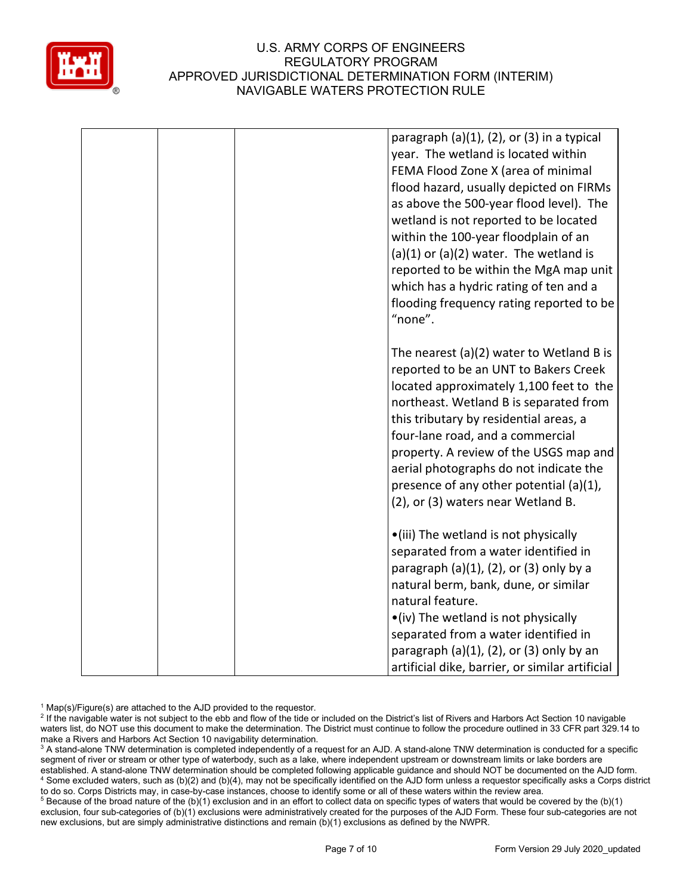

|  | paragraph $(a)(1)$ , $(2)$ , or $(3)$ in a typical<br>year. The wetland is located within<br>FEMA Flood Zone X (area of minimal<br>flood hazard, usually depicted on FIRMs<br>as above the 500-year flood level). The<br>wetland is not reported to be located<br>within the 100-year floodplain of an<br>$(a)(1)$ or $(a)(2)$ water. The wetland is<br>reported to be within the MgA map unit<br>which has a hydric rating of ten and a<br>flooding frequency rating reported to be<br>"none". |
|--|-------------------------------------------------------------------------------------------------------------------------------------------------------------------------------------------------------------------------------------------------------------------------------------------------------------------------------------------------------------------------------------------------------------------------------------------------------------------------------------------------|
|  | The nearest $(a)(2)$ water to Wetland B is<br>reported to be an UNT to Bakers Creek<br>located approximately 1,100 feet to the<br>northeast. Wetland B is separated from<br>this tributary by residential areas, a<br>four-lane road, and a commercial<br>property. A review of the USGS map and<br>aerial photographs do not indicate the<br>presence of any other potential (a)(1),<br>(2), or (3) waters near Wetland B.                                                                     |
|  | •(iii) The wetland is not physically<br>separated from a water identified in<br>paragraph $(a)(1)$ , $(2)$ , or $(3)$ only by a<br>natural berm, bank, dune, or similar<br>natural feature.<br>•(iv) The wetland is not physically<br>separated from a water identified in<br>paragraph $(a)(1)$ , $(2)$ , or $(3)$ only by an<br>artificial dike, barrier, or similar artificial                                                                                                               |

 $1$  Map(s)/Figure(s) are attached to the AJD provided to the requestor.

<sup>2</sup> If the navigable water is not subject to the ebb and flow of the tide or included on the District's list of Rivers and Harbors Act Section 10 navigable waters list, do NOT use this document to make the determination. The District must continue to follow the procedure outlined in 33 CFR part 329.14 to make a Rivers and Harbors Act Section 10 navigability determination.

<sup>3</sup> A stand-alone TNW determination is completed independently of a request for an AJD. A stand-alone TNW determination is conducted for a specific segment of river or stream or other type of waterbody, such as a lake, where independent upstream or downstream limits or lake borders are established. A stand-alone TNW determination should be completed following applicable guidance and should NOT be documented on the AJD form. <sup>4</sup> Some excluded waters, such as (b)(2) and (b)(4), may not be specifically identified on the AJD form unless a requestor specifically asks a Corps district to do so. Corps Districts may, in case-by-case instances, choose to identify some or all of these waters within the review area.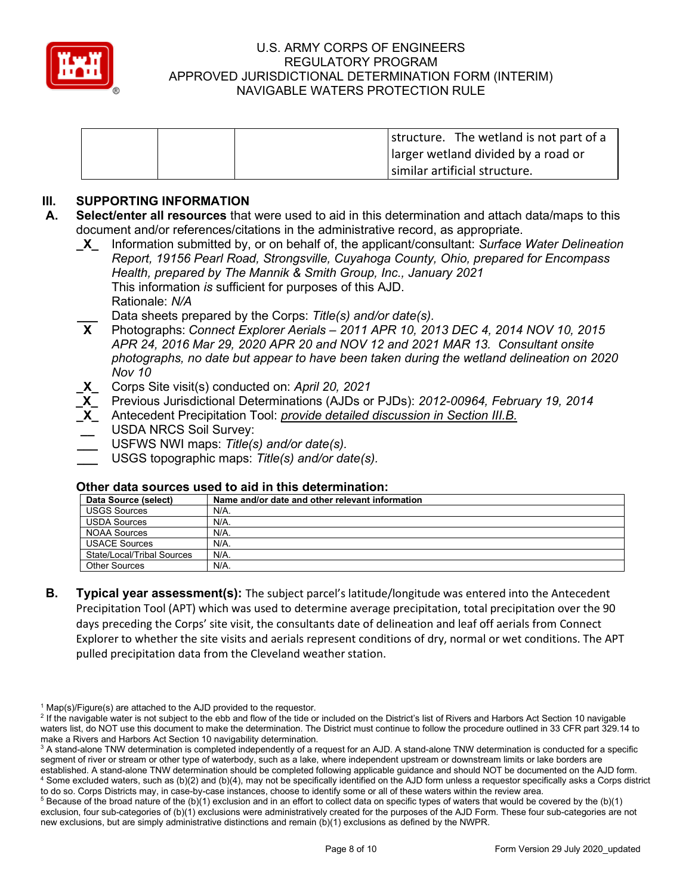

|  | structure. The wetland is not part of a |
|--|-----------------------------------------|
|  | larger wetland divided by a road or     |
|  | similar artificial structure.           |

## **III. SUPPORTING INFORMATION**

- **A. Select/enter all resources** that were used to aid in this determination and attach data/maps to this document and/or references/citations in the administrative record, as appropriate.
	- **\_X\_** Information submitted by, or on behalf of, the applicant/consultant: *Surface Water Delineation Report, 19156 Pearl Road, Strongsville, Cuyahoga County, Ohio, prepared for Encompass Health, prepared by The Mannik & Smith Group, Inc., January 2021* This information *is* sufficient for purposes of this AJD. Rationale: *N/A*
	- **\_\_\_** Data sheets prepared by the Corps: *Title(s) and/or date(s).*
	- **X** Photographs: *Connect Explorer Aerials – 2011 APR 10, 2013 DEC 4, 2014 NOV 10, 2015 APR 24, 2016 Mar 29, 2020 APR 20 and NOV 12 and 2021 MAR 13. Consultant onsite photographs, no date but appear to have been taken during the wetland delineation on 2020 Nov 10*
	- **\_X\_** Corps Site visit(s) conducted on: *April 20, 2021*
	- **\_X\_** Previous Jurisdictional Determinations (AJDs or PJDs): *2012-00964, February 19, 2014*
	- **\_X\_** Antecedent Precipitation Tool: *provide detailed discussion in Section III.B.*
	- **\_\_** USDA NRCS Soil Survey:
	- **\_\_\_** USFWS NWI maps: *Title(s) and/or date(s).*
	- **\_\_\_** USGS topographic maps: *Title(s) and/or date(s).*

#### **Other data sources used to aid in this determination:**

| Data Source (select)       | Name and/or date and other relevant information |
|----------------------------|-------------------------------------------------|
| <b>USGS Sources</b>        | N/A.                                            |
| <b>USDA Sources</b>        | N/A.                                            |
| <b>NOAA Sources</b>        | N/A.                                            |
| <b>USACE Sources</b>       | N/A.                                            |
| State/Local/Tribal Sources | N/A.                                            |
| <b>Other Sources</b>       | N/A.                                            |

**B. Typical year assessment(s):** The subject parcel's latitude/longitude was entered into the Antecedent Precipitation Tool (APT) which was used to determine average precipitation, total precipitation over the 90 days preceding the Corps' site visit, the consultants date of delineation and leaf off aerials from Connect Explorer to whether the site visits and aerials represent conditions of dry, normal or wet conditions. The APT pulled precipitation data from the Cleveland weather station.

 $1$  Map(s)/Figure(s) are attached to the AJD provided to the requestor.

<sup>&</sup>lt;sup>2</sup> If the navigable water is not subject to the ebb and flow of the tide or included on the District's list of Rivers and Harbors Act Section 10 navigable waters list, do NOT use this document to make the determination. The District must continue to follow the procedure outlined in 33 CFR part 329.14 to make a Rivers and Harbors Act Section 10 navigability determination.

<sup>&</sup>lt;sup>3</sup> A stand-alone TNW determination is completed independently of a request for an AJD. A stand-alone TNW determination is conducted for a specific segment of river or stream or other type of waterbody, such as a lake, where independent upstream or downstream limits or lake borders are established. A stand-alone TNW determination should be completed following applicable guidance and should NOT be documented on the AJD form. <sup>4</sup> Some excluded waters, such as (b)(2) and (b)(4), may not be specifically identified on the AJD form unless a requestor specifically asks a Corps district to do so. Corps Districts may, in case-by-case instances, choose to identify some or all of these waters within the review area.

 $5$  Because of the broad nature of the (b)(1) exclusion and in an effort to collect data on specific types of waters that would be covered by the (b)(1) exclusion, four sub-categories of (b)(1) exclusions were administratively created for the purposes of the AJD Form. These four sub-categories are not new exclusions, but are simply administrative distinctions and remain (b)(1) exclusions as defined by the NWPR.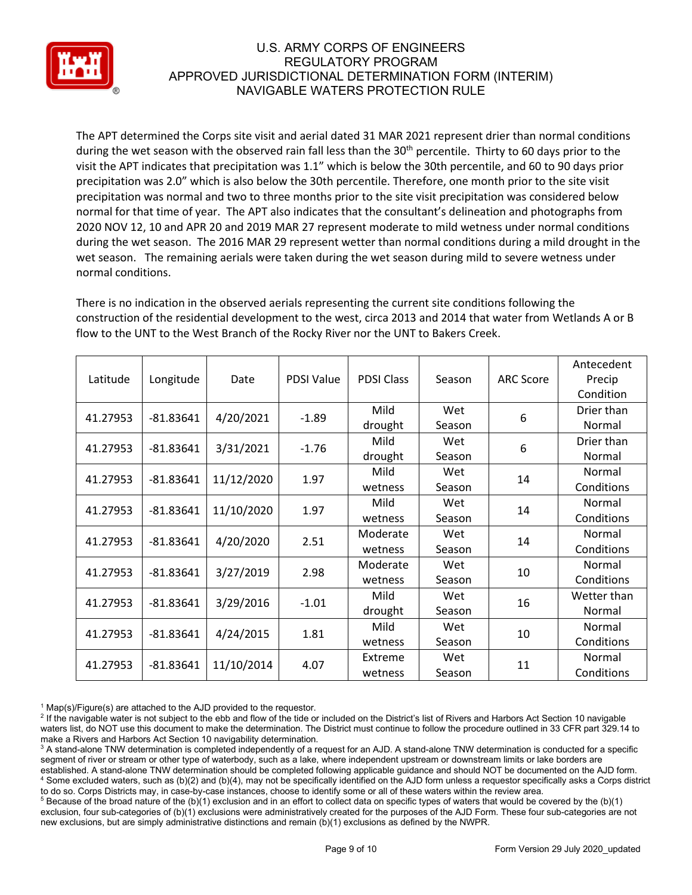

The APT determined the Corps site visit and aerial dated 31 MAR 2021 represent drier than normal conditions during the wet season with the observed rain fall less than the 30<sup>th</sup> percentile. Thirty to 60 days prior to the visit the APT indicates that precipitation was 1.1" which is below the 30th percentile, and 60 to 90 days prior precipitation was 2.0" which is also below the 30th percentile. Therefore, one month prior to the site visit precipitation was normal and two to three months prior to the site visit precipitation was considered below normal for that time of year. The APT also indicates that the consultant's delineation and photographs from 2020 NOV 12, 10 and APR 20 and 2019 MAR 27 represent moderate to mild wetness under normal conditions during the wet season. The 2016 MAR 29 represent wetter than normal conditions during a mild drought in the wet season. The remaining aerials were taken during the wet season during mild to severe wetness under normal conditions.

There is no indication in the observed aerials representing the current site conditions following the construction of the residential development to the west, circa 2013 and 2014 that water from Wetlands A or B flow to the UNT to the West Branch of the Rocky River nor the UNT to Bakers Creek.

|          |             |            |                   |                   |        |                  | Antecedent  |
|----------|-------------|------------|-------------------|-------------------|--------|------------------|-------------|
| Latitude | Longitude   | Date       | <b>PDSI Value</b> | <b>PDSI Class</b> | Season | <b>ARC Score</b> | Precip      |
|          |             |            |                   |                   |        |                  | Condition   |
| 41.27953 | $-81.83641$ | 4/20/2021  | $-1.89$           | Mild              | Wet    | 6                | Drier than  |
|          |             |            |                   | drought           | Season |                  | Normal      |
| 41.27953 | $-81.83641$ | 3/31/2021  | $-1.76$           | Mild              | Wet    | 6                | Drier than  |
|          |             |            |                   | drought           | Season |                  | Normal      |
| 41.27953 | $-81.83641$ | 11/12/2020 | 1.97              | Mild              | Wet    | 14               | Normal      |
|          |             |            |                   | wetness           | Season |                  | Conditions  |
| 41.27953 | $-81.83641$ | 11/10/2020 | 1.97              | Mild              | Wet    | 14               | Normal      |
|          |             |            |                   | wetness           | Season |                  | Conditions  |
| 41.27953 | $-81.83641$ | 4/20/2020  | 2.51              | Moderate          | Wet    | 14               | Normal      |
|          |             |            |                   | wetness           | Season |                  | Conditions  |
| 41.27953 | $-81.83641$ | 3/27/2019  | 2.98              | Moderate          | Wet    | 10               | Normal      |
|          |             |            |                   | wetness           | Season |                  | Conditions  |
| 41.27953 | $-81.83641$ | 3/29/2016  | $-1.01$           | Mild              | Wet    | 16               | Wetter than |
|          |             |            |                   | drought           | Season |                  | Normal      |
| 41.27953 | $-81.83641$ | 4/24/2015  | 1.81              | Mild              | Wet    | 10               | Normal      |
|          |             |            |                   | wetness           | Season |                  | Conditions  |
| 41.27953 | $-81.83641$ | 11/10/2014 | 4.07              | Extreme           | Wet    | 11               | Normal      |
|          |             |            |                   | wetness           | Season |                  | Conditions  |

 $1$  Map(s)/Figure(s) are attached to the AJD provided to the requestor.

<sup>2</sup> If the navigable water is not subject to the ebb and flow of the tide or included on the District's list of Rivers and Harbors Act Section 10 navigable waters list, do NOT use this document to make the determination. The District must continue to follow the procedure outlined in 33 CFR part 329.14 to make a Rivers and Harbors Act Section 10 navigability determination.

<sup>3</sup> A stand-alone TNW determination is completed independently of a request for an AJD. A stand-alone TNW determination is conducted for a specific segment of river or stream or other type of waterbody, such as a lake, where independent upstream or downstream limits or lake borders are established. A stand-alone TNW determination should be completed following applicable guidance and should NOT be documented on the AJD form. <sup>4</sup> Some excluded waters, such as (b)(2) and (b)(4), may not be specifically identified on the AJD form unless a requestor specifically asks a Corps district to do so. Corps Districts may, in case-by-case instances, choose to identify some or all of these waters within the review area.